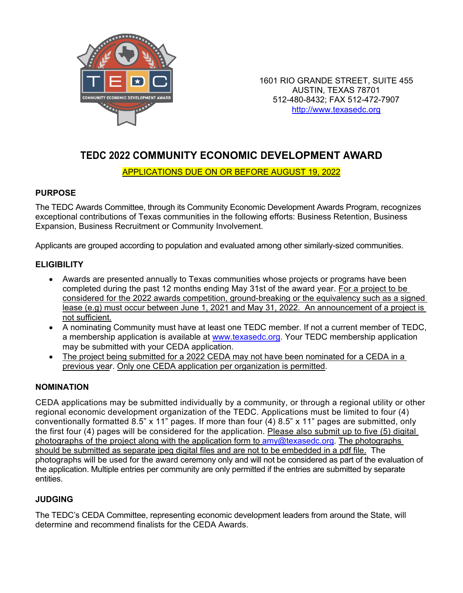

1601 RIO GRANDE STREET, SUITE 455 AUSTIN, TEXAS 78701 512-480-8432; FAX 512-472-7907 http://www.texasedc.org

# **TEDC 2022 COMMUNITY ECONOMIC DEVELOPMENT AWARD**

#### APPLICATIONS DUE ON OR BEFORE AUGUST 19, 2022

### **PURPOSE**

The TEDC Awards Committee, through its Community Economic Development Awards Program, recognizes exceptional contributions of Texas communities in the following efforts: Business Retention, Business Expansion, Business Recruitment or Community Involvement.

Applicants are grouped according to population and evaluated among other similarly-sized communities.

#### **ELIGIBILITY**

- Awards are presented annually to Texas communities whose projects or programs have been completed during the past 12 months ending May 31st of the award year. For a project to be considered for the 2022 awards competition, ground-breaking or the equivalency such as a signed lease (e.g) must occur between June 1, 2021 and May 31, 2022. An announcement of a project is not sufficient.
- A nominating Community must have at least one TEDC member. If not a current member of TEDC, a membership application is available at [www.texasedc.org.](http://www.texasedc.org/) Your TEDC membership application may be submitted with your CEDA application.
- The project being submitted for a 2022 CEDA may not have been nominated for a CEDA in a previous year. Only one CEDA application per organization is permitted.

#### **NOMINATION**

CEDA applications may be submitted individually by a community, or through a regional utility or other regional economic development organization of the TEDC. Applications must be limited to four (4) conventionally formatted 8.5" x 11" pages. If more than four (4) 8.5" x 11" pages are submitted, only the first four (4) pages will be considered for the application. Please also submit up to five (5) digital photographs of the project along with the application form to  $\frac{am}{\omega}$ texasedc.org. The photographs should be submitted as separate jpeg digital files and are not to be embedded in a pdf file. The photographs will be used for the award ceremony only and will not be considered as part of the evaluation of the application. Multiple entries per community are only permitted if the entries are submitted by separate entities.

# **JUDGING**

The TEDC's CEDA Committee, representing economic development leaders from around the State, will determine and recommend finalists for the CEDA Awards.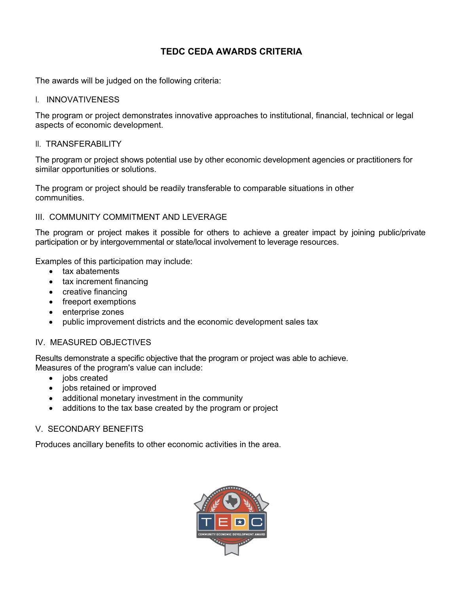# **TEDC CEDA AWARDS CRITERIA**

The awards will be judged on the following criteria:

I. INNOVATIVENESS

The program or project demonstrates innovative approaches to institutional, financial, technical or legal aspects of economic development.

II. TRANSFERABILITY

The program or project shows potential use by other economic development agencies or practitioners for similar opportunities or solutions.

The program or project should be readily transferable to comparable situations in other communities.

#### III. COMMUNITY COMMITMENT AND LEVERAGE

The program or project makes it possible for others to achieve a greater impact by joining public/private participation or by intergovernmental or state/local involvement to leverage resources.

Examples of this participation may include:

- tax abatements
- tax increment financing
- creative financing
- freeport exemptions
- enterprise zones
- public improvement districts and the economic development sales tax

#### IV. MEASURED OBJECTIVES

Results demonstrate a specific objective that the program or project was able to achieve. Measures of the program's value can include:

- jobs created
- jobs retained or improved
- additional monetary investment in the community
- additions to the tax base created by the program or project

#### V. SECONDARY BENEFITS

Produces ancillary benefits to other economic activities in the area.

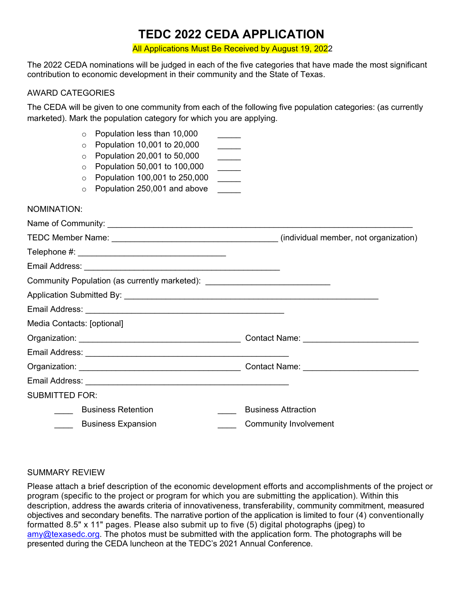# **TEDC 2022 CEDA APPLICATION**

All Applications Must Be Received by August 19, 2022

The 2022 CEDA nominations will be judged in each of the five categories that have made the most significant contribution to economic development in their community and the State of Texas.

#### AWARD CATEGORIES

The CEDA will be given to one community from each of the following five population categories: (as currently marketed). Mark the population category for which you are applying.

|                            | $\Omega$<br>O<br>$\circ$<br>$\circ$<br>$\circ$ | Population less than 10,000<br>Population 10,001 to 20,000<br>Population 20,001 to 50,000<br>Population 50,001 to 100,000<br>Population 100,001 to 250,000 | $\frac{1}{\sqrt{2\pi}}\left( \frac{1}{\sqrt{2\pi}}\right) ^{2}$<br>$\overline{\phantom{a}}$<br>$\frac{1}{1}$ |                              |
|----------------------------|------------------------------------------------|------------------------------------------------------------------------------------------------------------------------------------------------------------|--------------------------------------------------------------------------------------------------------------|------------------------------|
|                            | O                                              | Population 250,001 and above                                                                                                                               | $\mathcal{L}(\mathcal{L})$                                                                                   |                              |
| NOMINATION:                |                                                |                                                                                                                                                            |                                                                                                              |                              |
|                            |                                                |                                                                                                                                                            |                                                                                                              |                              |
|                            |                                                |                                                                                                                                                            |                                                                                                              |                              |
|                            |                                                |                                                                                                                                                            |                                                                                                              |                              |
|                            |                                                |                                                                                                                                                            |                                                                                                              |                              |
|                            |                                                | Community Population (as currently marketed): __________________________________                                                                           |                                                                                                              |                              |
|                            |                                                |                                                                                                                                                            |                                                                                                              |                              |
|                            |                                                |                                                                                                                                                            |                                                                                                              |                              |
| Media Contacts: [optional] |                                                |                                                                                                                                                            |                                                                                                              |                              |
|                            |                                                |                                                                                                                                                            |                                                                                                              |                              |
|                            |                                                |                                                                                                                                                            |                                                                                                              |                              |
|                            |                                                |                                                                                                                                                            |                                                                                                              |                              |
|                            |                                                |                                                                                                                                                            |                                                                                                              |                              |
| <b>SUBMITTED FOR:</b>      |                                                |                                                                                                                                                            |                                                                                                              |                              |
|                            |                                                | <b>Business Retention</b>                                                                                                                                  |                                                                                                              | <b>Business Attraction</b>   |
|                            |                                                | ____ Business Expansion                                                                                                                                    |                                                                                                              | <b>Community Involvement</b> |

#### SUMMARY REVIEW

Please attach a brief description of the economic development efforts and accomplishments of the project or program (specific to the project or program for which you are submitting the application). Within this description, address the awards criteria of innovativeness, transferability, community commitment, measured objectives and secondary benefits. The narrative portion of the application is limited to four (4) conventionally formatted 8.5" x 11" pages. Please also submit up to five (5) digital photographs (jpeg) to  $\frac{am}{\omega}$ texasedc.org. The photos must be submitted with the application form. The photographs will be presented during the CEDA luncheon at the TEDC's 2021 Annual Conference.